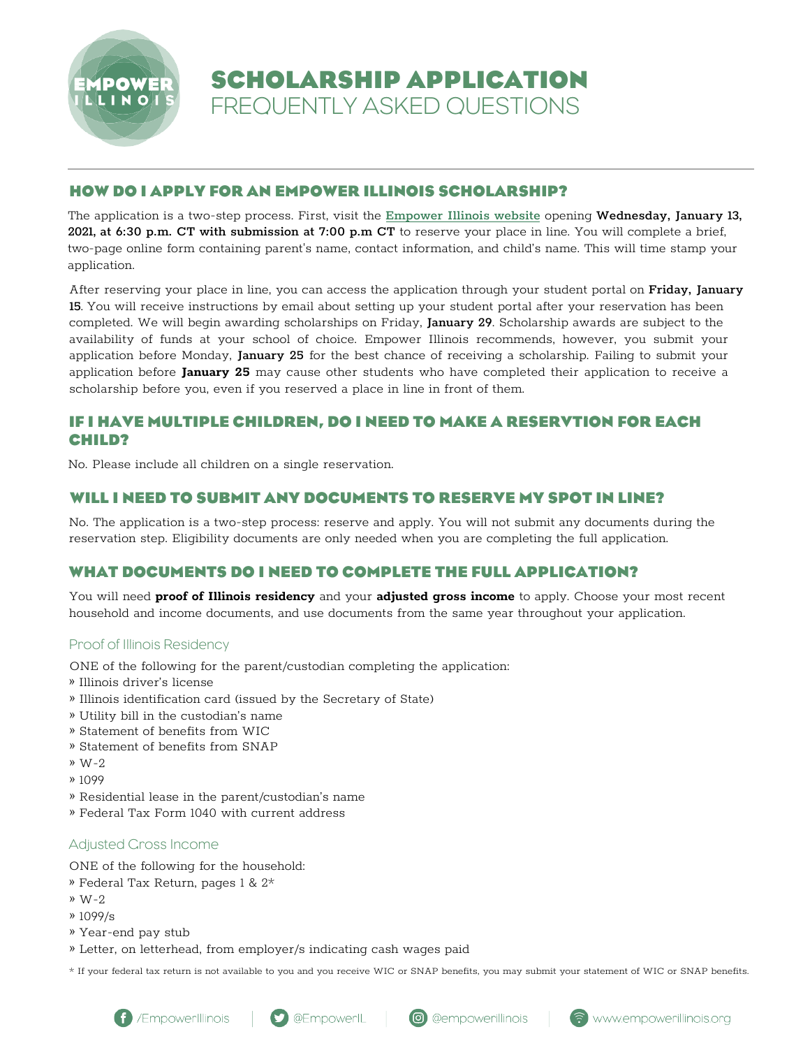

**SCHOLARSHIP APPLICATION** FREQUENTLY ASKED QUESTIONS

## **HOW DO I APPLY FOR AN EMPOWER ILLINOIS SCHOLARSHIP?**

The application is a two-step process. First, visit the Empower [Illinois website](empowerillinois.org) opening Wednesday, January 13, 2021, at 6:30 p.m. CT with submission at 7:00 p.m CT to reserve your place in line. You will complete a brief, two-page online form containing parent's name, contact information, and child's name. This will time stamp your application.

After reserving your place in line, you can access the application through your student portal on Friday, January 15. You will receive instructions by email about setting up your student portal after your reservation has been completed. We will begin awarding scholarships on Friday, January 29. Scholarship awards are subject to the availability of funds at your school of choice. Empower Illinois recommends, however, you submit your application before Monday, January 25 for the best chance of receiving a scholarship. Failing to submit your application before **January 25** may cause other students who have completed their application to receive a scholarship before you, even if you reserved a place in line in front of them.

## **IF I HAVE MULTIPLE CHILDREN, DO I NEED TO MAKE A RESERVTION FOR EACH CHILD?**

No. Please include all children on a single reservation.

### **WILL I NEED TO SUBMIT ANY DOCUMENTS TO RESERVE MY SPOT IN LINE?**

No. The application is a two-step process: reserve and apply. You will not submit any documents during the reservation step. Eligibility documents are only needed when you are completing the full application.

# **WHAT DOCUMENTS DO I NEED TO COMPLETE THE FULL APPLICATION?**

You will need **proof of Illinois residency** and your **adjusted gross income** to apply. Choose your most recent household and income documents, and use documents from the same year throughout your application.

### Proof of Illinois Residency

ONE of the following for the parent/custodian completing the application:

- » Illinois driver's license
- » Illinois identification card (issued by the Secretary of State)
- » Utility bill in the custodian's name
- » Statement of benefits from WIC
- » Statement of benefits from SNAP
- » W-2
- » 1099
- » Residential lease in the parent/custodian's name
- » Federal Tax Form 1040 with current address

# Adjusted Gross Income

ONE of the following for the household:

- » Federal Tax Return, pages 1 & 2\*
- » W-2
- » 1099/s
- » Year-end pay stub
- » Letter, on letterhead, from employer/s indicating cash wages paid

\* If your federal tax return is not available to you and you receive WIC or SNAP benefits, you may submit your statement of WIC or SNAP benefits.